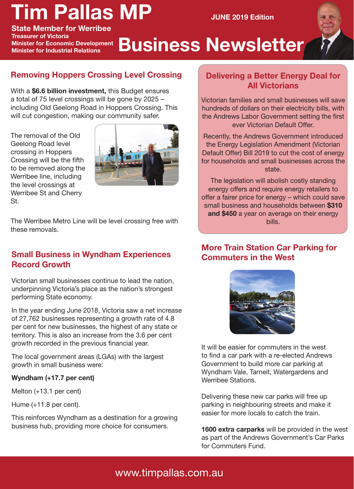# **Tim Pallas MP**

**JUNE 2019 Edition**

**State Member for Werribee Treasurer of Victoria Minister for Economic Development Minister for Industrial Relations**

# **Business Newsletter**

# **Removing Hoppers Crossing Level Crossing**

With a **\$6.6 billion investment,** this Budget ensures a total of 75 level crossings will be gone by 2025 – including Old Geelong Road in Hoppers Crossing. This will cut congestion, making our community safer.

The removal of the Old Geelong Road level crossing in Hoppers Crossing will be the fifth to be removed along the Werribee line, including the level crossings at Werribee St and Cherry St.



The Werribee Metro Line will be level crossing free with these removals.

### **Small Business in Wyndham Experiences Record Growth**

Victorian small businesses continue to lead the nation, underpinning Victoria's place as the nation's strongest performing State economy.

In the year ending June 2018, Victoria saw a net increase of 27,762 businesses representing a growth rate of 4.8 per cent for new businesses, the highest of any state or territory. This is also an increase from the 3.6 per cent growth recorded in the previous financial year.

The local government areas (LGAs) with the largest growth in small business were:

#### **Wyndham (+17.7 per cent)**

Melton (+13.1 per cent)

Hume (+11.8 per cent).

This reinforces Wyndham as a destination for a growing business hub, providing more choice for consumers.

### **Delivering a Better Energy Deal for All Victorians**

Victorian families and small businesses will save hundreds of dollars on their electricity bills, with the Andrews Labor Government setting the first ever Victorian Default Offer.

Recently, the Andrews Government introduced the Energy Legislation Amendment (Victorian Default Offer) Bill 2019 to cut the cost of energy for households and small businesses across the state.

The legislation will abolish costly standing energy offers and require energy retailers to offer a fairer price for energy – which could save small business and households between **\$310 and \$450** a year on average on their energy bills.

### **More Train Station Car Parking for Commuters in the West**



It will be easier for commuters in the west to find a car park with a re-elected Andrews Government to build more car parking at Wyndham Vale, Tarneit, Watergardens and Werribee Stations.

Delivering these new car parks will free up parking in neighbouring streets and make it easier for more locals to catch the train.

**1600 extra carparks** will be provided in the west as part of the Andrews Government's Car Parks for Commuters Fund.

# www.timpallas.com.au